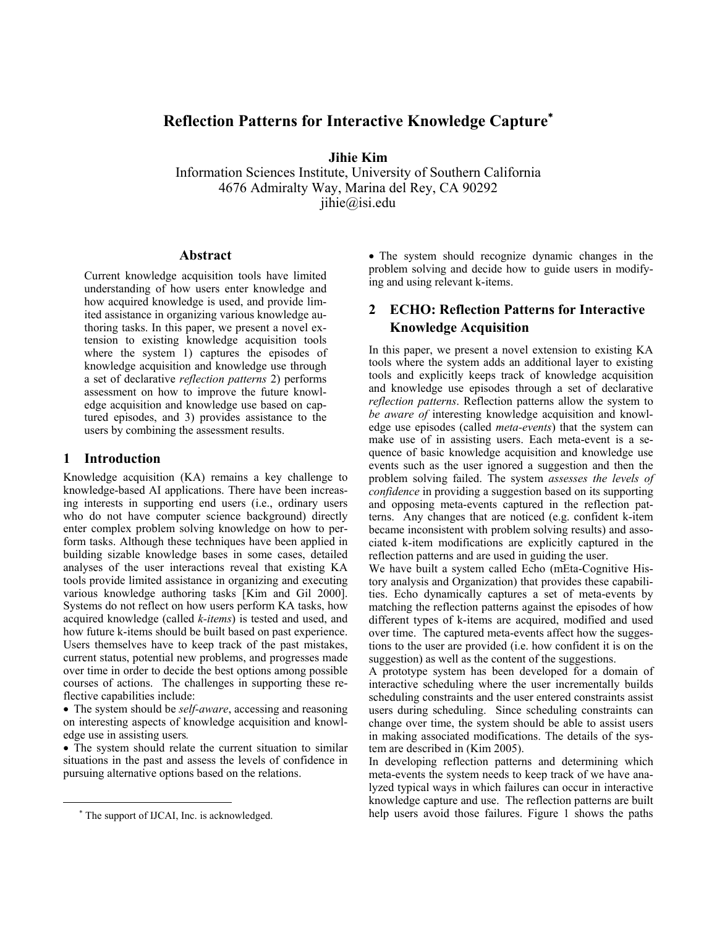# **Reflection Patterns for Interactive Knowledge Capture**<sup>∗</sup>

**Jihie Kim** 

Information Sciences Institute, University of Southern California 4676 Admiralty Way, Marina del Rey, CA 90292 jihie@isi.edu

#### **Abstract**

Current knowledge acquisition tools have limited understanding of how users enter knowledge and how acquired knowledge is used, and provide limited assistance in organizing various knowledge authoring tasks. In this paper, we present a novel extension to existing knowledge acquisition tools where the system 1) captures the episodes of knowledge acquisition and knowledge use through a set of declarative *reflection patterns* 2) performs assessment on how to improve the future knowledge acquisition and knowledge use based on captured episodes, and 3) provides assistance to the users by combining the assessment results.

### **1 Introduction**

Knowledge acquisition (KA) remains a key challenge to knowledge-based AI applications. There have been increasing interests in supporting end users (i.e., ordinary users who do not have computer science background) directly enter complex problem solving knowledge on how to perform tasks. Although these techniques have been applied in building sizable knowledge bases in some cases, detailed analyses of the user interactions reveal that existing KA tools provide limited assistance in organizing and executing various knowledge authoring tasks [Kim and Gil 2000]. Systems do not reflect on how users perform KA tasks, how acquired knowledge (called *k-items*) is tested and used, and how future k-items should be built based on past experience. Users themselves have to keep track of the past mistakes, current status, potential new problems, and progresses made over time in order to decide the best options among possible courses of actions. The challenges in supporting these reflective capabilities include:

• The system should be *self-aware*, accessing and reasoning on interesting aspects of knowledge acquisition and knowledge use in assisting users*.* 

• The system should relate the current situation to similar situations in the past and assess the levels of confidence in pursuing alternative options based on the relations.

 $\overline{a}$ 

• The system should recognize dynamic changes in the problem solving and decide how to guide users in modifying and using relevant k-items.

## **2 ECHO: Reflection Patterns for Interactive Knowledge Acquisition**

In this paper, we present a novel extension to existing KA tools where the system adds an additional layer to existing tools and explicitly keeps track of knowledge acquisition and knowledge use episodes through a set of declarative *reflection patterns*. Reflection patterns allow the system to *be aware of* interesting knowledge acquisition and knowledge use episodes (called *meta-events*) that the system can make use of in assisting users. Each meta-event is a sequence of basic knowledge acquisition and knowledge use events such as the user ignored a suggestion and then the problem solving failed. The system *assesses the levels of confidence* in providing a suggestion based on its supporting and opposing meta-events captured in the reflection patterns. Any changes that are noticed (e.g. confident k-item became inconsistent with problem solving results) and associated k-item modifications are explicitly captured in the reflection patterns and are used in guiding the user.

We have built a system called Echo (mEta-Cognitive History analysis and Organization) that provides these capabilities. Echo dynamically captures a set of meta-events by matching the reflection patterns against the episodes of how different types of k-items are acquired, modified and used over time. The captured meta-events affect how the suggestions to the user are provided (i.e. how confident it is on the suggestion) as well as the content of the suggestions.

A prototype system has been developed for a domain of interactive scheduling where the user incrementally builds scheduling constraints and the user entered constraints assist users during scheduling. Since scheduling constraints can change over time, the system should be able to assist users in making associated modifications. The details of the system are described in (Kim 2005).

In developing reflection patterns and determining which meta-events the system needs to keep track of we have analyzed typical ways in which failures can occur in interactive knowledge capture and use. The reflection patterns are built help users avoid those failures. Figure 1 shows the paths

<sup>∗</sup> The support of IJCAI, Inc. is acknowledged.